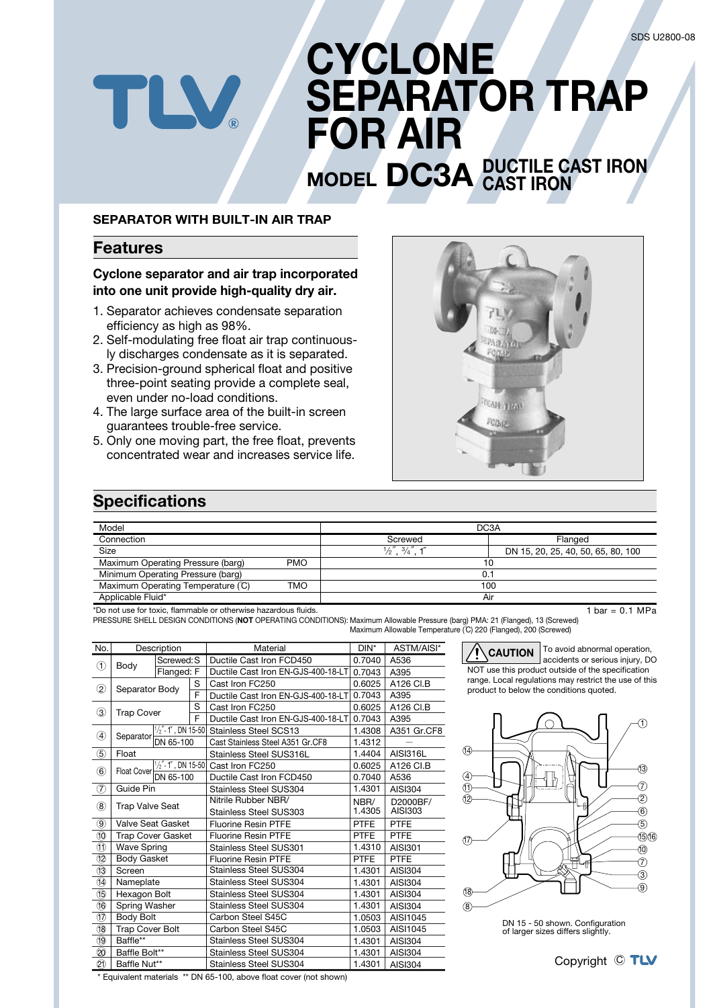# **CYCLONE SEPARATOR TRAP FOR AIR MODEL DC3A DUCTILE CAST IRON**

### **SEPARATOR WITH BUILT-IN AIR TRAP**

## **Features**

TLV

## **Cyclone separator and air trap incorporated into one unit provide high-quality dry air.**

- 1. Separator achieves condensate separation efficiency as high as 98%.
- 2. Self-modulating free float air trap continuously discharges condensate as it is separated.
- 3. Precision-ground spherical float and positive three-point seating provide a complete seal, even under no-load conditions.
- 4. The large surface area of the built-in screen guarantees trouble-free service.
- 5. Only one moving part, the free float, prevents concentrated wear and increases service life.



**CAST IRON**

## **Specifications**

| Model                                                           |            | DC <sub>3</sub> A                         |                                    |  |  |
|-----------------------------------------------------------------|------------|-------------------------------------------|------------------------------------|--|--|
| Connection                                                      |            | Screwed                                   | Flanged                            |  |  |
| Size                                                            |            | $\frac{1}{2}$ $\frac{3}{4}$ $\frac{7}{4}$ | DN 15, 20, 25, 40, 50, 65, 80, 100 |  |  |
| Maximum Operating Pressure (barg)                               | <b>PMO</b> |                                           | 10                                 |  |  |
| Minimum Operating Pressure (barg)                               |            |                                           | 0.1                                |  |  |
| Maximum Operating Temperature (°C)                              | TMO        |                                           | 100                                |  |  |
| Applicable Fluid*                                               |            |                                           | Air                                |  |  |
| *Do not use for toxic, flammable or otherwise hazardous fluids. |            |                                           | 1 bar = 0.1 MPa                    |  |  |

\*Do not use for toxic, flammable or otherwise hazardous fluids.

PRESSURE SHELL DESIGN CONDITIONS (**NOT** OPERATING CONDITIONS): Maximum Allowable Pressure (barg) PMA: 21 (Flanged), 13 (Screwed) Maximum Allowable Temperature (°C) 220 (Flanged), 200 (Screwed)

| No.                                   | Description              |                               |                                    | Material                           | $DIN^*$     | ASTM/AISI*      |
|---------------------------------------|--------------------------|-------------------------------|------------------------------------|------------------------------------|-------------|-----------------|
| ு<br>Body                             |                          | Screwed: S                    |                                    | Ductile Cast Iron FCD450           | 0.7040      | A536            |
|                                       | Flanged: F               |                               | Ductile Cast Iron EN-GJS-400-18-LT | 0.7043                             | A395        |                 |
| $\circled{2}$                         |                          | S<br>Separator Body           |                                    | Cast Iron FC250                    | 0.6025      | A126 CI.B       |
|                                       |                          |                               | F                                  | Ductile Cast Iron EN-GJS-400-18-LT | 0.7043      | A395            |
| ③                                     |                          |                               | S                                  | Cast Iron FC250                    | 0.6025      | A126 CI.B       |
|                                       |                          | <b>Trap Cover</b><br>F        |                                    | Ductile Cast Iron EN-GJS-400-18-LT | 0.7043      | A395            |
| 4                                     | Separator                | $\frac{1}{2}$ - 1", DN 15-50  |                                    | <b>Stainless Steel SCS13</b>       | 1.4308      | A351 Gr.CF8     |
|                                       |                          | DN 65-100                     |                                    | Cast Stainless Steel A351 Gr.CF8   | 1.4312      |                 |
| $\circledS$                           | Float                    |                               |                                    | Stainless Steel SUS316L            | 1.4404      | <b>AISI316L</b> |
| $\circled6$                           | Float Cover              |                               |                                    | 1/2"-1", DN 15-50 Cast Iron FC250  | 0.6025      | A126 CI.B       |
|                                       |                          | DN 65-100                     |                                    | Ductile Cast Iron FCD450           | 0.7040      | A536            |
| $\left( 7\right)$                     | Guide Pin                |                               |                                    | Stainless Steel SUS304             | 1.4301      | AISI304         |
| $\circledR$<br><b>Trap Valve Seat</b> |                          |                               | Nitrile Rubber NBR/                | NBR/                               | D2000BF/    |                 |
|                                       |                          | <b>Stainless Steel SUS303</b> | 1.4305                             | AISI303                            |             |                 |
| $\circledcirc$                        | Valve Seat Gasket        |                               |                                    | <b>Fluorine Resin PTFE</b>         | <b>PTFE</b> | <b>PTFE</b>     |
| (10                                   | <b>Trap Cover Gasket</b> |                               |                                    | <b>Fluorine Resin PTFE</b>         | <b>PTFE</b> | <b>PTFE</b>     |
| O                                     | <b>Wave Spring</b>       |                               |                                    | Stainless Steel SUS301             | 1.4310      | AISI301         |
| 12                                    | <b>Body Gasket</b>       |                               |                                    | <b>Fluorine Resin PTFE</b>         | <b>PTFE</b> | <b>PTFE</b>     |
| (13)                                  | Screen                   |                               |                                    | Stainless Steel SUS304             | 1.4301      | AISI304         |
| 14)                                   | Nameplate                |                               |                                    | <b>Stainless Steel SUS304</b>      | 1.4301      | <b>AISI304</b>  |
| 15)                                   | Hexagon Bolt             |                               |                                    | <b>Stainless Steel SUS304</b>      | 1.4301      | <b>AISI304</b>  |
| 16                                    | Spring Washer            |                               |                                    | <b>Stainless Steel SUS304</b>      | 1.4301      | AISI304         |
| 17)                                   | Body Bolt                |                               |                                    | Carbon Steel S45C                  | 1.0503      | AISI1045        |
| (18)                                  | <b>Trap Cover Bolt</b>   |                               |                                    | Carbon Steel S45C                  | 1.0503      | AISI1045        |
| (19)                                  | Baffle**                 |                               |                                    | <b>Stainless Steel SUS304</b>      | 1.4301      | <b>AISI304</b>  |
| (20)                                  | Baffle Bolt**            |                               |                                    | <b>Stainless Steel SUS304</b>      | 1.4301      | <b>AISI304</b>  |
| (2)                                   | Baffle Nut**             |                               |                                    | <b>Stainless Steel SUS304</b>      | 1.4301      | <b>AISI304</b>  |

**CAUTION** To avoid abnormal operation, accidents or serious injury, DO NOT use this product outside of the specification range. Local regulations may restrict the use of this product to below the conditions quoted.



DN 15 - 50 shown. Configuration of larger sizes differs slightly.

\* Equivalent materials \*\* DN 65-100, above float cover (not shown)